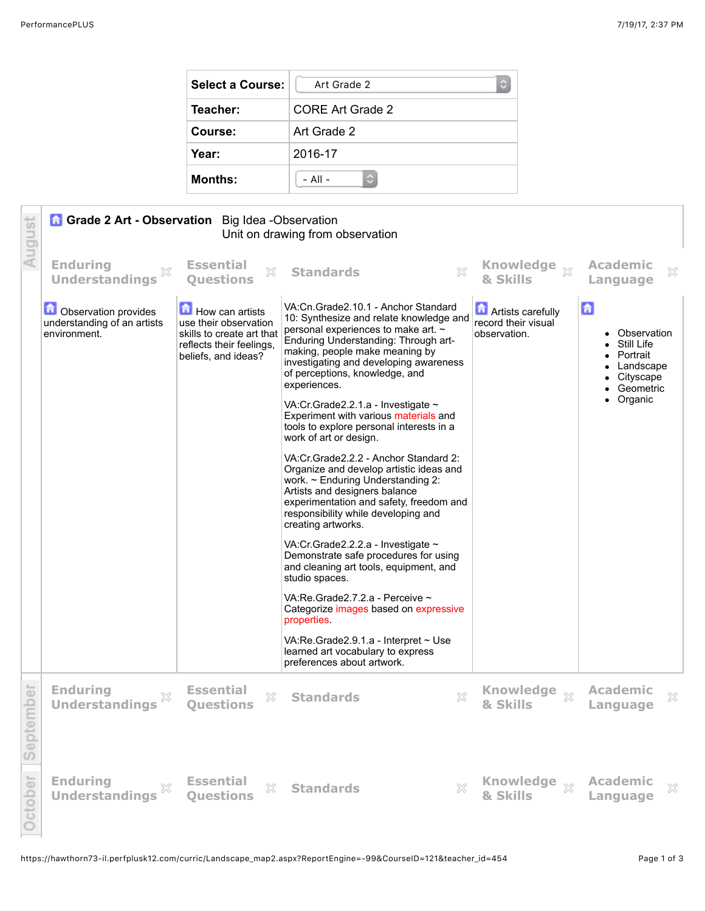| <b>Select a Course:</b> | Art Grade 2<br>c |  |  |  |
|-------------------------|------------------|--|--|--|
| Teacher:                | CORE Art Grade 2 |  |  |  |
| Course:                 | Art Grade 2      |  |  |  |
| Year:                   | 2016-17          |  |  |  |
| <b>Months:</b>          | $-$ All $-$      |  |  |  |

| August         | <b>Grade 2 Art - Observation</b> Big Idea - Observation<br>Unit on drawing from observation |                                                                                                                          |                                                                                                                                                                                                                                                                                                                                                                                                                                                       |                                                                 |                                                                                                                   |  |
|----------------|---------------------------------------------------------------------------------------------|--------------------------------------------------------------------------------------------------------------------------|-------------------------------------------------------------------------------------------------------------------------------------------------------------------------------------------------------------------------------------------------------------------------------------------------------------------------------------------------------------------------------------------------------------------------------------------------------|-----------------------------------------------------------------|-------------------------------------------------------------------------------------------------------------------|--|
|                | <b>Enduring</b><br><b>Understandings</b>                                                    | <b>Essential</b><br>X<br>Questions                                                                                       | X<br><b>Standards</b>                                                                                                                                                                                                                                                                                                                                                                                                                                 | & Skills                                                        | <b>Academic</b><br>$\chi$<br>Language                                                                             |  |
|                | <b>D</b> Observation provides<br>understanding of an artists<br>environment.                | How can artists<br>use their observation<br>skills to create art that<br>reflects their feelings,<br>beliefs, and ideas? | VA:Cn.Grade2.10.1 - Anchor Standard<br>10: Synthesize and relate knowledge and<br>personal experiences to make art. ~<br>Enduring Understanding: Through art-<br>making, people make meaning by<br>investigating and developing awareness<br>of perceptions, knowledge, and<br>experiences.<br>VA:Cr.Grade2.2.1.a - Investigate $\sim$<br>Experiment with various materials and<br>tools to explore personal interests in a<br>work of art or design. | <b>Artists carefully</b><br>record their visual<br>observation. | $\mathbf{G}$<br>• Observation<br>• Still Life<br>• Portrait<br>Landscape<br>• Cityscape<br>Geometric<br>• Organic |  |
|                |                                                                                             |                                                                                                                          | VA: Cr. Grade 2.2.2 - Anchor Standard 2:<br>Organize and develop artistic ideas and<br>work. ~ Enduring Understanding 2:<br>Artists and designers balance<br>experimentation and safety, freedom and<br>responsibility while developing and<br>creating artworks.                                                                                                                                                                                     |                                                                 |                                                                                                                   |  |
|                |                                                                                             |                                                                                                                          | VA:Cr.Grade2.2.2.a - Investigate ~<br>Demonstrate safe procedures for using<br>and cleaning art tools, equipment, and<br>studio spaces.                                                                                                                                                                                                                                                                                                               |                                                                 |                                                                                                                   |  |
|                |                                                                                             |                                                                                                                          | VA:Re.Grade2.7.2.a - Perceive ~<br>Categorize images based on expressive<br>properties.                                                                                                                                                                                                                                                                                                                                                               |                                                                 |                                                                                                                   |  |
|                |                                                                                             |                                                                                                                          | VA: Re. Grade $2.9.1.a -$ Interpret $\sim$ Use<br>learned art vocabulary to express<br>preferences about artwork.                                                                                                                                                                                                                                                                                                                                     |                                                                 |                                                                                                                   |  |
| mber<br>Septer | <b>Enduring</b><br><b>Understandings</b>                                                    | <b>Essential</b><br>X<br><b>Ouestions</b>                                                                                | X<br><b>Standards</b>                                                                                                                                                                                                                                                                                                                                                                                                                                 | & Skills                                                        | <b>Academic</b><br>X<br>Language                                                                                  |  |
| October        | <b>Enduring</b><br>$\mathbb{X}$<br><b>Understandings</b>                                    | <b>Essential</b><br>X<br><b>Ouestions</b>                                                                                | X<br><b>Standards</b>                                                                                                                                                                                                                                                                                                                                                                                                                                 | Knowledge xx<br>& Skills                                        | <b>Academic</b><br>$\boldsymbol{\mathcal{Z}}$<br>Language                                                         |  |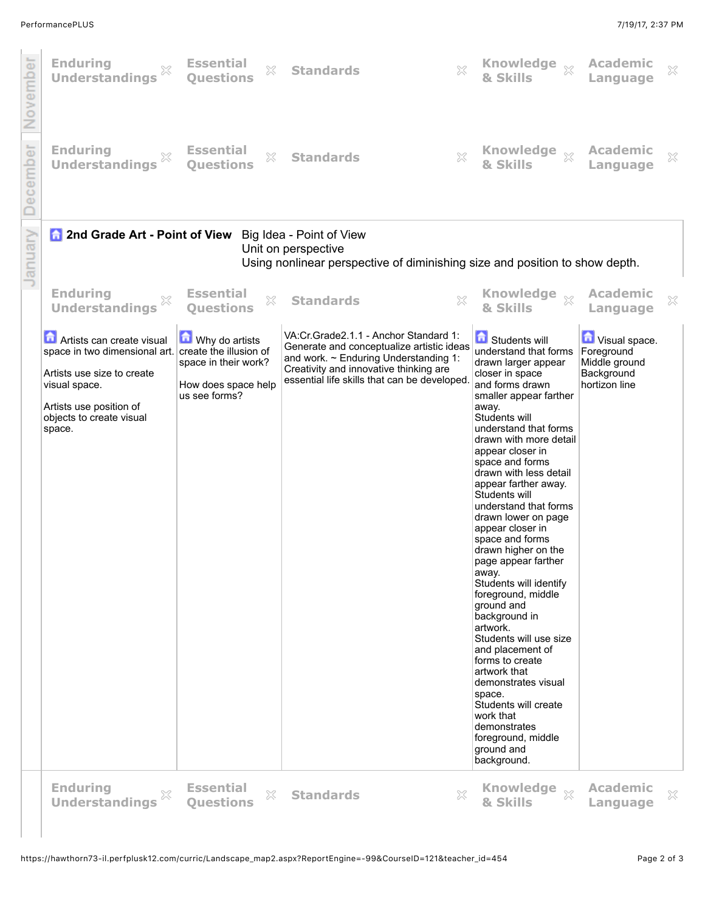